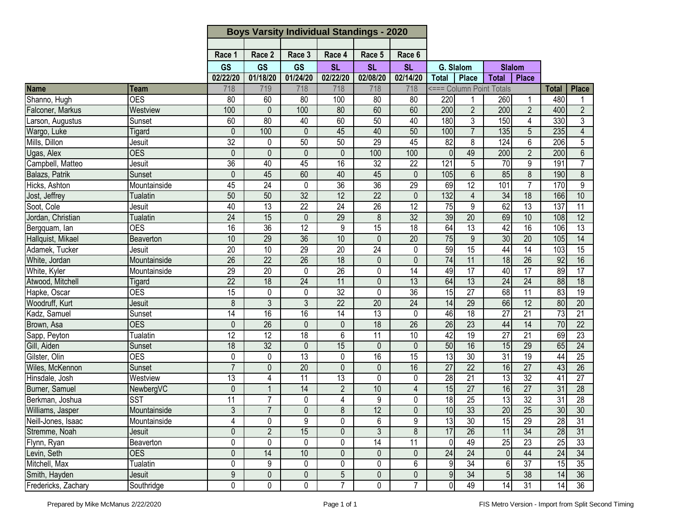|                     |                 |                 | <b>Boys Varsity Individual Standings - 2020</b> |                 |                 |                 |                 |                  |                 |                          |                         |                 |                  |
|---------------------|-----------------|-----------------|-------------------------------------------------|-----------------|-----------------|-----------------|-----------------|------------------|-----------------|--------------------------|-------------------------|-----------------|------------------|
|                     |                 |                 |                                                 |                 |                 |                 |                 |                  |                 |                          |                         |                 |                  |
|                     |                 | Race 1          | Race 2                                          | Race 3          | Race 4          | Race 5          | Race 6          |                  |                 |                          |                         |                 |                  |
|                     |                 | <b>GS</b>       | <b>GS</b>                                       | <b>GS</b>       | <b>SL</b>       | <b>SL</b>       | <b>SL</b>       |                  | G. Slalom       |                          | <b>Slalom</b>           |                 |                  |
|                     |                 | 02/22/20        | 01/18/20                                        | 01/24/20        | 02/22/20        | 02/08/20        | 02/14/20        | <b>Total</b>     | <b>Place</b>    | <b>Total</b>             | <b>Place</b>            |                 |                  |
| Name                | Team            | 718             | 719                                             | 718             | 718             | 718             | 718             |                  |                 | <=== Column Point Totals |                         | <b>Total</b>    | <b>Place</b>     |
| Shanno, Hugh        | <b>OES</b>      | 80              | 60                                              | 80              | 100             | 80              | 80              | 220              |                 | 260                      | 1                       | 480             | 1                |
| Falconer, Markus    | Westview        | 100             | $\mathbf 0$                                     | 100             | 80              | 60              | 60              | 200              | $\overline{2}$  | 200                      | $\overline{2}$          | 400             | $\overline{2}$   |
| Larson, Augustus    | Sunset          | 60              | 80                                              | 40              | 60              | 50              | 40              | 180              | 3               | 150                      | $\overline{\mathbf{4}}$ | 330             | 3                |
| Wargo, Luke         | Tigard          | $\mathbf{0}$    | 100                                             | 0               | 45              | 40              | 50              | 100              | $\overline{7}$  | 135                      | 5                       | 235             | $\overline{4}$   |
| Mills, Dillon       | Jesuit          | 32              | 0                                               | 50              | 50              | 29              | 45              | $\overline{82}$  | 8               | 124                      | 6                       | 206             | 5                |
| Ugas, Alex          | <b>OES</b>      | $\mathbf{0}$    | $\mathbf 0$                                     | 0               | $\mathbf{0}$    | 100             | 100             | $\overline{0}$   | 49              | 200                      | $\overline{2}$          | 200             | 6                |
| Campbell, Matteo    | Jesuit          | $\overline{36}$ | 40                                              | 45              | 16              | $\overline{32}$ | $\overline{22}$ | 121              | 5               | $\overline{70}$          | 9                       | 191             | $\overline{7}$   |
| Balazs, Patrik      | Sunset          | $\mathbf{0}$    | 45                                              | 60              | 40              | 45              | $\mathbf{0}$    | 105              | 6               | 85                       | $\overline{8}$          | 190             | 8                |
| Hicks, Ashton       | Mountainside    | 45              | $\overline{24}$                                 | $\mathbf 0$     | $\overline{36}$ | 36              | $\overline{29}$ | 69               | 12              | 101                      | $\overline{7}$          | 170             | $\boldsymbol{9}$ |
| Jost, Jeffrey       | <b>Tualatin</b> | 50              | 50                                              | 32              | 12              | $\overline{22}$ | $\mathbf{0}$    | $\overline{132}$ | $\overline{4}$  | 34                       | 18                      | 166             | 10               |
| Soot, Cole          | Jesuit          | 40              | $\overline{13}$                                 | $\overline{22}$ | $\overline{24}$ | $\overline{26}$ | $\overline{12}$ | $\overline{75}$  | 9               | 62                       | 13                      | 137             | 11               |
| Jordan, Christian   | <b>Tualatin</b> | $\overline{24}$ | 15                                              | $\mathbf 0$     | 29              | $\bf 8$         | 32              | 39               | 20              | 69                       | 10                      | 108             | $\overline{12}$  |
| Bergquam, lan       | <b>OES</b>      | 16              | $\overline{36}$                                 | $\overline{12}$ | 9               | 15              | 18              | 64               | 13              | 42                       | 16                      | 106             | 13               |
| Hallquist, Mikael   | Beaverton       | 10              | 29                                              | $\overline{36}$ | 10              | 0               | 20              | 75               | 9               | 30                       | $\overline{20}$         | 105             | 14               |
| Adamek, Tucker      | Jesuit          | $\overline{20}$ | 10                                              | 29              | $\overline{20}$ | $\overline{24}$ | 0               | 59               | 15              | 44                       | 14                      | 103             | 15               |
| White, Jordan       | Mountainside    | 26              | 22                                              | 26              | 18              | 0               | $\mathbf{0}$    | $\overline{74}$  | 11              | 18                       | 26                      | 92              | 16               |
| White, Kyler        | Mountainside    | 29              | $\overline{20}$                                 | 0               | 26              | 0               | 14              | 49               | $\overline{17}$ | 40                       | $\overline{17}$         | 89              | $\overline{17}$  |
| Atwood, Mitchell    | Tigard          | $\overline{22}$ | $\overline{18}$                                 | 24              | 11              | $\mathbf 0$     | $\overline{13}$ | 64               | 13              | 24                       | 24                      | $\overline{88}$ | $\overline{18}$  |
| Hapke, Oscar        | <b>OES</b>      | 15              | 0                                               | 0               | $\overline{32}$ | $\pmb{0}$       | $\overline{36}$ | 15               | $\overline{27}$ | 68                       | $\overline{11}$         | 83              | $\overline{19}$  |
| Woodruff, Kurt      | Jesuit          | 8               | 3                                               | 3               | 22              | 20              | 24              | $\overline{14}$  | $\overline{29}$ | 66                       | $\overline{12}$         | 80              | 20               |
| Kadz, Samuel        | Sunset          | $\overline{14}$ | 16                                              | 16              | 14              | $\overline{13}$ | 0               | 46               | 18              | $\overline{27}$          | 21                      | $\overline{73}$ | $\overline{21}$  |
| Brown, Asa          | <b>OES</b>      | $\mathbf 0$     | $\overline{26}$                                 | 0               | $\mathbf 0$     | 18              | $\overline{26}$ | 26               | $\overline{23}$ | 44                       | $\overline{14}$         | 70              | 22               |
| Sapp, Peyton        | <b>Tualatin</b> | $\overline{12}$ | 12                                              | $\overline{18}$ | 6               | 11              | 10              | 42               | $\overline{19}$ | $\overline{27}$          | $\overline{21}$         | 69              | 23               |
| Gill, Aiden         | Sunset          | $\overline{18}$ | 32                                              | 0               | 15              | $\mathbf 0$     | $\mathbf{0}$    | 50               | 16              | 15                       | 29                      | 65              | 24               |
| Gilster, Olin       | <b>OES</b>      | 0               | $\pmb{0}$                                       | $\overline{13}$ | 0               | 16              | 15              | 13               | $\overline{30}$ | 31                       | $\overline{19}$         | 44              | $\overline{25}$  |
| Wiles, McKennon     | Sunset          | $\overline{7}$  | $\mathbf 0$                                     | 20              | $\mathbf{0}$    | $\mathbf 0$     | 16              | $\overline{27}$  | 22              | 16                       | 27                      | 43              | 26               |
| Hinsdale, Josh      | Westview        | $\overline{13}$ | $\overline{4}$                                  | 11              | $\overline{13}$ | $\pmb{0}$       | 0               | 28               | $\overline{21}$ | 13                       | 32                      | $\overline{41}$ | $\overline{27}$  |
| Burner, Samuel      | NewbergVC       | $\mathbf 0$     | $\mathbf{1}$                                    | 14              | $\overline{2}$  | 10              | $\overline{4}$  | 15               | $\overline{27}$ | 16                       | $\overline{27}$         | 31              | $\overline{28}$  |
| Berkman, Joshua     | <b>SST</b>      | 11              | 7                                               | 0               | 4               | 9               | 0               | $\frac{1}{8}$    | $\overline{25}$ | $\overline{3}$           | 32                      | $\overline{31}$ | 28               |
| Williams, Jasper    | Mountainside    | $\overline{3}$  | $\overline{7}$                                  | $\overline{0}$  | 8               | 12              | $\overline{0}$  | 10               | $\overline{33}$ | 20                       | $\overline{25}$         | 30              | $\overline{30}$  |
| Neill-Jones, Isaac  | Mountainside    | 4               | 0                                               | 9               | 0               | 6               | 9               | 13               | 30              | 15                       | 29                      | $\overline{28}$ | $\overline{31}$  |
| Stremme, Noah       | Jesuit          | $\mathbf 0$     | $\overline{2}$                                  | 15              | $\mathbf 0$     | $\mathfrak{Z}$  | 8               | 17               | $\overline{26}$ | 11                       | $\overline{34}$         | 28              | 31               |
| Flynn, Ryan         | Beaverton       | 0               | 0                                               | 0               | 0               | 14              | 11              | $\overline{0}$   | 49              | 25                       | 23                      | 25              | 33               |
| Levin, Seth         | <b>OES</b>      | $\mathbf 0$     | 14                                              | 10              | $\mathbf 0$     | $\mathbf 0$     | $\mathbf 0$     | 24               | $\overline{24}$ | $\overline{0}$           | 44                      | $\overline{24}$ | 34               |
| Mitchell, Max       | <b>Tualatin</b> | 0               | 9                                               | 0               | 0               | 0               | 6               | $\overline{9}$   | $\overline{34}$ | 6                        | $\overline{37}$         | 15              | 35               |
| Smith, Hayden       | Jesuit          | $9\,$           | $\pmb{0}$                                       | 0               | 5               | 0               | 0               | 9                | $\overline{34}$ | $5\phantom{.0}$          | 38                      | 14              | 36               |
| Fredericks, Zachary | Southridge      | 0               | $\mathsf{0}$                                    | 0               | $\overline{7}$  | 0               | $\overline{7}$  | $\overline{0}$   | 49              | 14                       | 31                      | $\overline{14}$ | 36               |